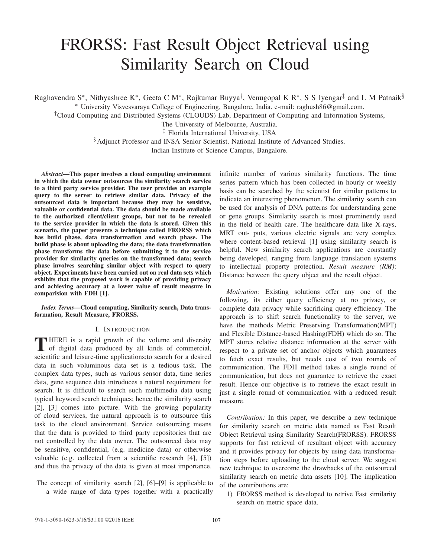# FRORSS: Fast Result Object Retrieval using Similarity Search on Cloud

Raghavendra S<sup>∗</sup>, Nithyashree K<sup>∗</sup>, Geeta C M<sup>∗</sup>, Rajkumar Buyya<sup>†</sup>, Venugopal K R<sup>∗</sup>, S S Iyengar<sup>‡</sup> and L M Patnaik<sup>§</sup>

∗ University Visvesvaraya College of Engineering, Bangalore, India. e-mail: raghush86@gmail.com.

†Cloud Computing and Distributed Systems (CLOUDS) Lab, Department of Computing and Information Systems,

The University of Melbourne, Australia.

‡ Florida International University, USA

§Adjunct Professor and INSA Senior Scientist, National Institute of Advanced Studies,

Indian Institute of Science Campus, Bangalore.

*Abstract***—This paper involves a cloud computing environment in which the data owner outsources the similarity search service to a third party service provider. The user provides an example query to the server to retrieve similar data. Privacy of the outsourced data is important because they may be sensitive, valuable or confidential data. The data should be made available to the authorized client/client groups, but not to be revealed to the service provider in which the data is stored. Given this scenario, the paper presents a technique called FRORSS which has build phase, data transformation and search phase. The build phase is about uploading the data; the data transformation phase transforms the data before submitting it to the service provider for similarity queries on the transformed data; search phase involves searching similar object with respect to query object. Experiments have been carried out on real data sets which exhibits that the proposed work is capable of providing privacy and achieving accuracy at a lower value of result measure in comparision with FDH [1].**

*Index Terms***—Cloud computing, Similarity search, Data transformation, Result Measure, FRORSS.**

# I. INTRODUCTION

**T** HERE is a rapid growth of the volume and diversity of digital data produced by all kinds of commercial, scientific and leisure-time applications;to search for a desired data in such voluminous data set is a tedious task. The complex data types, such as various sensor data, time series data, gene sequence data introduces a natural requirement for search. It is difficult to search such multimedia data using typical keyword search techniques; hence the similarity search [2], [3] comes into picture. With the growing popularity of cloud services, the natural approach is to outsource this task to the cloud environment. Service outsourcing means that the data is provided to third party repositories that are not controlled by the data owner. The outsourced data may be sensitive, confidential, (e.g. medicine data) or otherwise valuable (e.g. collected from a scientific research [4], [5]) and thus the privacy of the data is given at most importance.

The concept of similarity search [2], [6]–[9] is applicable to a wide range of data types together with a practically infinite number of various similarity functions. The time series pattern which has been collected in hourly or weekly basis can be searched by the scientist for similar patterns to indicate an interesting phenomenon. The similarity search can be used for analysis of DNA patterns for understanding gene or gene groups. Similarity search is most prominently used in the field of health care. The healthcare data like X-rays, MRT out- puts, various electric signals are very complex where content-based retrieval [1] using similarity search is helpful. New similarity search applications are constantly being developed, ranging from language translation systems to intellectual property protection. *Result measure (RM)*: Distance between the query object and the result object.

*Motivation:* Existing solutions offer any one of the following, its either query efficiency at no privacy, or complete data privacy while sacrificing query efficiency. The approach is to shift search functionality to the server, we have the methods Metric Preserving Transformation(MPT) and Flexible Distance-based Hashing(FDH) which do so. The MPT stores relative distance information at the server with respect to a private set of anchor objects which guarantees to fetch exact results, but needs cost of two rounds of communication. The FDH method takes a single round of communication, but does not guarantee to retrieve the exact result. Hence our objective is to retrieve the exact result in just a single round of communication with a reduced result measure.

*Contribution:* In this paper, we describe a new technique for similarity search on metric data named as Fast Result Object Retrieval using Similarity Search(FRORSS). FRORSS supports for fast retrieval of resultant object with accuracy and it provides privacy for objects by using data transformation steps before uploading to the cloud server. We suggest new technique to overcome the drawbacks of the outsourced similarity search on metric data assets [10]. The implication of the contributions are:

1) FRORSS method is developed to retrive Fast similarity search on metric space data.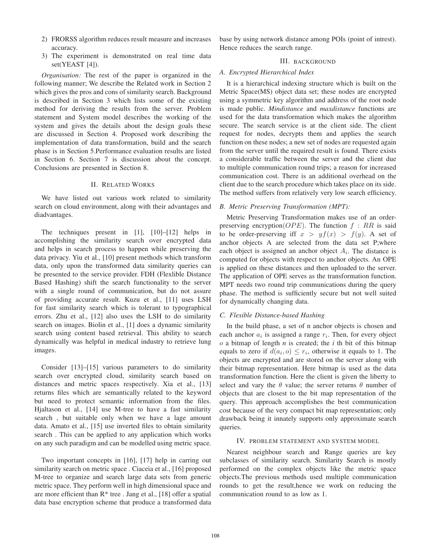- 2) FRORSS algorithm reduces result measure and increases accuracy.
- 3) The experiment is demonstrated on real time data set(YEAST [4]).

*Organisation:* The rest of the paper is organized in the following manner; We describe the Related work in Section 2 which gives the pros and cons of similarity search. Background is described in Section 3 which lists some of the existing method for deriving the results from the server. Problem statement and System model describes the working of the system and gives the details about the design goals these are discussed in Section 4. Proposed work describing the implementation of data transformation, build and the search phase is in Section 5.Performance evaluation results are listed in Section 6. Section 7 is discussion about the concept. Conclusions are presented in Section 8.

# II. RELATED WORKS

We have listed out various work related to similarity search on cloud environment, along with their advantages and diadvantages.

The techniques present in [1], [10]–[12] helps in accomplishing the similarity search over encrypted data and helps in search process to happen while preserving the data privacy. Yiu et al., [10] present methods which transform data, only upon the transformed data similarity queries can be presented to the service provider. FDH (Flexlible Distance Based Hashing) shift the search functionality to the server with a single round of communication, but do not assure of providing accurate result. Kuzu et al., [11] uses LSH for fast similarity search which is tolerant to typographical errors. Zhu et al., [12] also uses the LSH to do similarity search on images. Biolin et al., [1] does a dynamic similarity search using content based retrieval. This ability to search dynamically was helpful in medical industry to retrieve lung images.

Consider [13]–[15] various parameters to do similarity search over encrypted cloud, similarity search based on distances and metric spaces respectively. Xia et al., [13] returns files which are semantically related to the keyword but need to protect semantic information from the files. Hjaltason et al., [14] use M-tree to have a fast similarity search , but suitable only when we have a lage amount data. Amato et al., [15] use inverted files to obtain similarity search . This can be applied to any application which works on any such paradigm and can be modelled using metric space.

Two important concepts in [16], [17] help in carring out similarity search on metric space . Ciaceia et al., [16] proposed M-tree to organize and search large data sets from generic metric space. They perform well in high dimensional space and are more efficient than  $R^*$  tree . Jang et al., [18] offer a spatial data base encryption scheme that produce a transformed data base by using network distance among POIs (point of intrest). Hence reduces the search range.

# III. BACKGROUND

#### *A. Encrypted Hierarchical Index*

It is a hierarchical indexing structure which is built on the Metric Space(MS) object data set; these nodes are encrypted using a symmetric key algorithm and address of the root node is made public. *Mindistance* and *maxdistance* functions are used for the data transformation which makes the algorithm secure. The search service is at the client side. The client request for nodes, decrypts them and applies the search function on these nodes; a new set of nodes are requested again from the server until the required result is found. There exists a considerable traffic between the server and the client due to multiple communication round trips; a reason for increased communication cost. There is an additional overhead on the client due to the search procedure which takes place on its side. The method suffers from relatively very low search efficiency.

# *B. Metric Preserving Transformation (MPT):*

Metric Preserving Transformation makes use of an orderpreserving encryption( $OPE$ ). The function  $f : RR$  is said to be order-preserving iff  $x > yf(x) > f(y)$ . A set of anchor objects A are selected from the data set P;where each object is assigned an anchor object A*i*. The distance is computed for objects with respect to anchor objects. An OPE is applied on these distances and then uploaded to the server. The application of OPE serves as the transformation function. MPT needs two round trip communications during the query phase. The method is sufficiently secure but not well suited for dynamically changing data.

#### *C. Flexible Distance-based Hashing*

In the build phase, a set of n anchor objects is chosen and each anchor  $a_i$  is assigned a range  $r_i$ . Then, for every object o a bitmap of length *n* is created; the *i* th bit of this bitmap equals to zero if  $d(a_i, o) \leq r_i$ , otherwise it equals to 1. The objects are encrypted and are stored on the server along with their bitmap representation. Here bitmap is used as the data transformation function. Here the client is given the liberty to select and vary the  $\theta$  value; the server returns  $\theta$  number of objects that are closest to the bit map representation of the query. This approach accomplishes the best communication cost because of the very compact bit map representation; only drawback being it innately supports only approximate search queries.

#### IV. PROBLEM STATEMENT AND SYSTEM MODEL

Nearest neighbour search and Range queries are key subclasses of similarity search. Similarity Search is mostly performed on the complex objects like the metric space objects.The previous methods used multiple communication rounds to get the result,hence we work on reducing the communication round to as low as 1.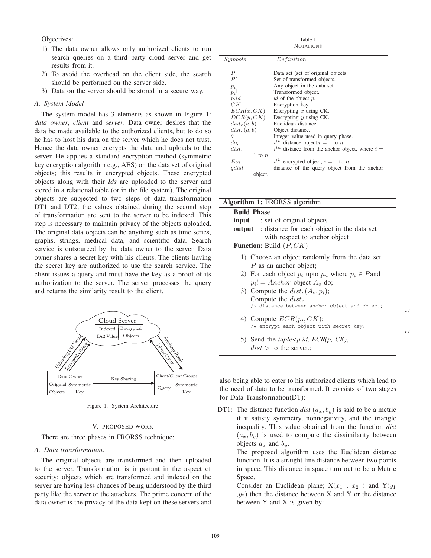Objectives:

- 1) The data owner allows only authorized clients to run search queries on a third party cloud server and get results from it.
- 2) To avoid the overhead on the client side, the search should be performed on the server side.
- 3) Data on the server should be stored in a secure way.

# *A. System Model*

The system model has 3 elements as shown in Figure 1: *data owner*, *client* and *server*. Data owner desires that the data be made available to the authorized clients, but to do so he has to host his data on the server which he does not trust. Hence the data owner encrypts the data and uploads to the server. He applies a standard encryption method (symmetric key encryption algorithm e.g., AES) on the data set of original objects; this results in encrypted objects. These encrypted objects along with their *Ids* are uploaded to the server and stored in a relational table (or in the file system). The original objects are subjected to two steps of data transformation DT1 and DT2; the values obtained during the second step of transformation are sent to the server to be indexed. This step is necessary to maintain privacy of the objects uploaded. The original data objects can be anything such as time series, graphs, strings, medical data, and scientific data. Search service is outsourced by the data owner to the server. Data owner shares a secret key with his clients. The clients having the secret key are authorized to use the search service. The client issues a query and must have the key as a proof of its authorization to the server. The server processes the query and returns the similarity result to the client.



Figure 1. System Architecture

# V. PROPOSED WORK

There are three phases in FRORSS technique:

# *A. Data transformation:*

The original objects are transformed and then uploaded to the server. Transformation is important in the aspect of security; objects which are transformed and indexed on the server are having less chances of being understood by the third party like the server or the attackers. The prime concern of the data owner is the privacy of the data kept on these servers and

Table I **NOTATIONS** 

| Symbols          | Definition                                            |
|------------------|-------------------------------------------------------|
|                  |                                                       |
| $\boldsymbol{P}$ | Data set (set of original objects.                    |
| P'               | Set of transformed objects.                           |
| $p_i$            | Any object in the data set.                           |
| $p_i$            | Transformed object.                                   |
| p.id             | <i>id</i> of the object <i>p</i> .                    |
| CK               | Encryption key.                                       |
| ECR(x,CK)        | Encrypting $x$ using CK.                              |
| DCR(y, CK)       | Decrypting $y$ using CK.                              |
| $dist_e(a,b)$    | Euclidean distance.                                   |
| $dist_o(a, b)$   | Object distance.                                      |
| Ĥ                | Integer value used in query phase.                    |
| $do_i$           | $i^{th}$ distance object, $i = 1$ to n.               |
| $dist_i$         | $i^{th}$ distance from the anchor object, where $i =$ |
| 1 to $n$ .       |                                                       |
| $E_{0i}$         | $i^{th}$ encrypted object, $i = 1$ to n.              |
| gdist            | distance of the query object from the anchor          |
| object.          |                                                       |

# **Algorithm 1:** FRORSS algorithm

#### **Build Phase**

| input | : set of original objects                                |  |
|-------|----------------------------------------------------------|--|
|       | <b>output</b> : distance for each object in the data set |  |
|       | with respect to anchor object                            |  |

**Function**: Build  $(P, CK)$ 

- 1) Choose an object randomly from the data set P as an anchor object;
- 2) For each object  $p_i$  upto  $p_n$  where  $p_i \in P$  and  $p_i! = Anchor$  object  $A_o$  do;
- 3) Compute the  $dist_e(A_o, p_i)$ ; Compute the  $dist_o$ <br>/\* distance between anchor object and object;

\*/

\*/

- 4) Compute  $ECR(p_i,CK);$  $/*$  encrypt each object with secret key;
- 5) Send the *tuple<p.id, ECR(p, CK)*,  $dist >$  to the server.;

also being able to cater to his authorized clients which lead to the need of data to be transformed. It consists of two stages for Data Transformation(DT):

DT1: The distance function *dist*  $(a_x, b_y)$  is said to be a metric if it satisfy symmetry, nonnegativity, and the triangle inequality. This value obtained from the function *dist*  $(a_x, b_y)$  is used to compute the dissimilarity between objects  $a_x$  and  $b_y$ .

> The proposed algorithm uses the Euclidean distance function. It is a straight line distance between two points in space. This distance in space turn out to be a Metric Space.

> Consider an Euclidean plane;  $X(x_1, x_2)$  and  $Y(y_1)$  $(y_2)$  then the distance between X and Y or the distance between Y and X is given by: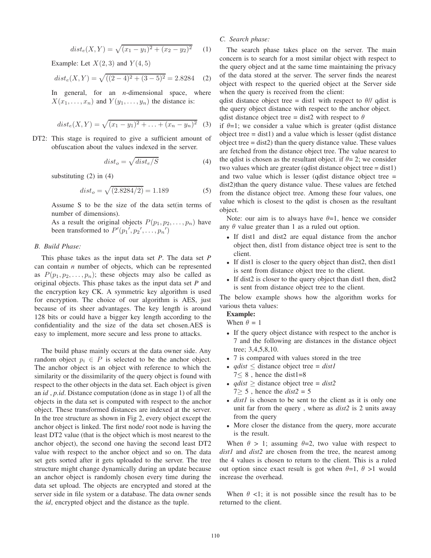$$
dist_e(X, Y) = \sqrt{(x_1 - y_1)^2 + (x_2 - y_2)^2}
$$
 (1)

Example: Let  $X(2,3)$  and  $Y(4,5)$ 

$$
dist_e(X, Y) = \sqrt{((2-4)^2 + (3-5)^2)} = 2.8284
$$
 (2)

In general, for an *n*-dimensional space, where  $X(x_1,...,x_n)$  and  $Y(y_1,...,y_n)$  the distance is:

$$
dist_e(X, Y) = \sqrt{(x_1 - y_1)^2 + \ldots + (x_n - y_n)^2}
$$
 (3)

DT2: This stage is required to give a sufficient amount of obfuscation about the values indexed in the server.

$$
dist_o = \sqrt{dist_e/S} \tag{4}
$$

substituting  $(2)$  in  $(4)$ 

$$
dist_o = \sqrt{(2.8284/2)} = 1.189\tag{5}
$$

Assume S to be the size of the data set(in terms of number of dimensions).

As a result the original objects  $P(p_1, p_2, \ldots, p_n)$  have been transformed to  $P'(p_1', p_2', \ldots, p_n')$ 

# *B. Build Phase:*

This phase takes as the input data set *P*. The data set *P* can contain *n* number of objects, which can be represented as  $P(p_1, p_2, \ldots, p_n)$ ; these objects may also be called as original objects. This phase takes as the input data set *P* and the encryption key CK. A symmetric key algorithm is used for encryption. The choice of our algorithm is AES, just because of its sheer advantages. The key length is around 128 bits or could have a bigger key length according to the confidentiality and the size of the data set chosen.AES is easy to implement, more secure and less prone to attacks.

The build phase mainly occurs at the data owner side. Any random object  $p_i \in P$  is selected to be the anchor object. The anchor object is an object with reference to which the similarity or the dissimilarity of the query object is found with respect to the other objects in the data set. Each object is given an *id* , *p.id*. Distance computation (done as in stage 1) of all the objects in the data set is computed with respect to the anchor object. These transformed distances are indexed at the server. In the tree structure as shown in Fig 2, every object except the anchor object is linked. The first node/ root node is having the least DT2 value (that is the object which is most nearest to the anchor object), the second one having the second least DT2 value with respect to the anchor object and so on. The data set gets sorted after it gets uploaded to the server. The tree structure might change dynamically during an update because an anchor object is randomly chosen every time during the data set upload. The objects are encrypted and stored at the server side in file system or a database. The data owner sends the *id*, encrypted object and the distance as the tuple.

# *C. Search phase:*

The search phase takes place on the server. The main concern is to search for a most similar object with respect to the query object and at the same time maintaining the privacy of the data stored at the server. The server finds the nearest object with respect to the queried object at the Server side when the query is received from the client:

qdist distance object tree = dist1 with respect to  $\theta$ // qdist is the query object distance with respect to the anchor object.

qdist distance object tree = dist2 with respect to  $\theta$ 

if  $\theta = 1$ ; we consider a value which is greater (qdist distance object tree  $=$  dist1) and a value which is lesser (qdist distance object tree = dist2) than the query distance value. These values are fetched from the distance object tree. The value nearest to the qdist is chosen as the resultant object. if  $\theta = 2$ ; we consider two values which are greater (qdist distance object tree = dist1) and two value which is lesser (qdist distance object tree = dist2)than the query distance value. These values are fetched from the distance object tree. Among these four values, one value which is closest to the qdist is chosen as the resultant object.

Note: our aim is to always have  $\theta = 1$ , hence we consider any  $\theta$  value greater than 1 as a ruled out option.

- If dist1 and dist2 are equal distance from the anchor object then, dist1 from distance object tree is sent to the client.
- If dist1 is closer to the query object than dist2, then dist1 is sent from distance object tree to the client.
- If dist2 is closer to the query object than dist1 then, dist2 is sent from distance object tree to the client.

The below example shows how the algorithm works for various theta values:

# **Example:**

When  $\theta = 1$ 

- If the query object distance with respect to the anchor is 7 and the following are distances in the distance object tree; 3,4,5,8,10.
- 7 is compared with values stored in the tree
- *qdist* ≤ distance object tree = *dist1*  $7 \leq 8$ , hence the dist1=8
- *qdist*  $\geq$  distance object tree = *dist*2  $7 \geq 5$ , hence the *dist* $2 = 5$
- *dist1* is chosen to be sent to the client as it is only one unit far from the query , where as *dist2* is 2 units away from the query
- More closer the distance from the query, more accurate is the result.

When  $\theta > 1$ ; assuming  $\theta = 2$ , two value with respect to *dist1* and *dist2* are chosen from the tree, the nearest among the 4 values is chosen to return to the client. This is a ruled out option since exact result is got when  $\theta=1$ ,  $\theta>1$  would increase the overhead.

When  $\theta$  <1; it is not possible since the result has to be returned to the client.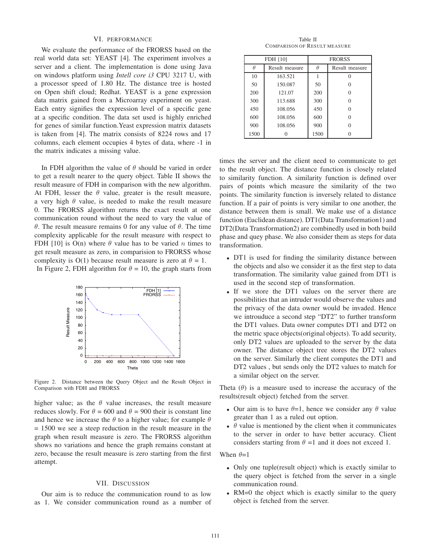## VI. PERFORMANCE

We evaluate the performance of the FRORSS based on the real world data set: YEAST [4]. The experiment involves a server and a client. The implementation is done using Java on windows platform using *Intell core i3* CPU 3217 U, with a processor speed of 1.80 Hz. The distance tree is hosted on Open shift cloud; Redhat. YEAST is a gene expression data matrix gained from a Microarray experiment on yeast. Each entry signifies the expression level of a specific gene at a specific condition. The data set used is highly enriched for genes of similar function.Yeast expression matrix datasets is taken from [4]. The matrix consists of 8224 rows and 17 columns, each element occupies 4 bytes of data, where -1 in the matrix indicates a missing value.

In FDH algorithm the value of  $\theta$  should be varied in order to get a result nearer to the query object. Table II shows the result measure of FDH in comparison with the new algorithm. At FDH, lesser the  $\theta$  value, greater is the result measure, a very high  $\theta$  value, is needed to make the result measure 0. The FRORSS algorithm returns the exact result at one communication round without the need to vary the value of θ. The result measure remains 0 for any value of θ. The time complexity applicable for the result measure with respect to FDH [10] is  $O(n)$  where  $\theta$  value has to be varied n times to get result measure as zero, in comparision to FRORSS whose complexity is  $O(1)$  because result measure is zero at  $\theta = 1$ . In Figure 2, FDH algorithm for  $\theta = 10$ , the graph starts from



Figure 2. Distance between the Query Object and the Result Object in Comparison with FDH and FRORSS

higher value; as the  $\theta$  value increases, the result measure reduces slowly. For  $\theta = 600$  and  $\theta = 900$  their is constant line and hence we increase the  $\theta$  to a higher value; for example  $\theta$ = 1500 we see a steep reduction in the result measure in the graph when result measure is zero. The FRORSS algorithm shows no variations and hence the graph remains constant at zero, because the result measure is zero starting from the first attempt.

## VII. DISCUSSION

Our aim is to reduce the communication round to as low as 1. We consider communication round as a number of

Table II COMPARISON OF RESULT MEASURE

| FDH [10] |                | <b>FRORSS</b> |                |
|----------|----------------|---------------|----------------|
| Ĥ        | Result measure | Ĥ             | Result measure |
| 10       | 163.521        |               |                |
| 50       | 150.087        | 50            |                |
| 200      | 121.07         | 200           |                |
| 300      | 113.688        | 300           |                |
| 450      | 108.056        | 450           |                |
| 600      | 108.056        | 600           |                |
| 900      | 108.056        | 900           |                |
| 1500     |                | 1500          |                |

times the server and the client need to communicate to get to the result object. The distance function is closely related to similarity function. A similarity function is defined over pairs of points which measure the similarity of the two points. The similarity function is inversely related to distance function. If a pair of points is very similar to one another, the distance between them is small. We make use of a distance function (Euclidean distance). DT1(Data Transformation1) and DT2(Data Transformation2) are combinedly used in both build phase and quey phase. We also consider them as steps for data transformation.

- DT1 is used for finding the similarity distance between the objects and also we consider it as the first step to data transformation. The similarity value gained from DT1 is used in the second step of transformation.
- If we store the DT1 values on the server there are possibilities that an intruder would observe the values and the privacy of the data owner would be invaded. Hence we introuduce a second step "DT2" to further transform the DT1 values. Data owner computes DT1 and DT2 on the metric space objects(original objects). To add security, only DT2 values are uploaded to the server by the data owner. The distance object tree stores the DT2 values on the server. Similarly the client computes the DT1 and DT2 values , but sends only the DT2 values to match for a similar object on the server.

Theta  $(\theta)$  is a measure used to increase the accuracy of the results(result object) fetched from the server.

- Our aim is to have  $\theta = 1$ , hence we consider any  $\theta$  value greater than 1 as a ruled out option.
- $\theta$  value is mentioned by the client when it communicates to the server in order to have better accuracy. Client considers starting from  $\theta =1$  and it does not exceed 1.

When  $\theta=1$ 

- Only one tuple(result object) which is exactly similar to the query object is fetched from the server in a single communication round.
- RM=0 the object which is exactly similar to the query object is fetched from the server.